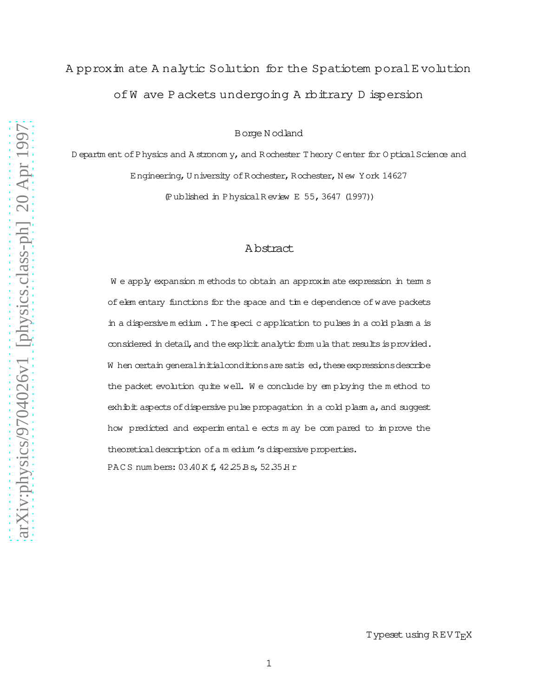# A pproxim ate A nalytic Solution for the Spatiotem poral E volution of W ave P ackets undergoing A rbitrary D ispersion

B orge N odland

D epartm ent of P hysics and A stronom y, and R ochester T heory C enter for O ptical Science and Engineering, University of Rochester, Rochester, New York 14627 (Published in Physical Review E 55, 3647 (1997))

### Abstract

We apply expansion methods to obtain an approximate expression in terms of elem entary functions for the space and time dependence of wave packets in a dispersive medium. The specic application to pulses in a cold plasm a is considered in detail, and the explicit analytic form ula that results is provided. W hen certain general initial conditions are satis ed, these expressions describe the packet evolution quite well. We conclude by employing the method to  $exh\ddot{\phi}$  it aspects of dispersive pulse propagation in a cold plasm a, and suggest how predicted and experimentale ects may be compared to improve the theoretical description of a m edium 's dispersive properties. PACS numbers: 03.40 K f, 42.25 B s, 52.35 H r

Typeset using REV TFX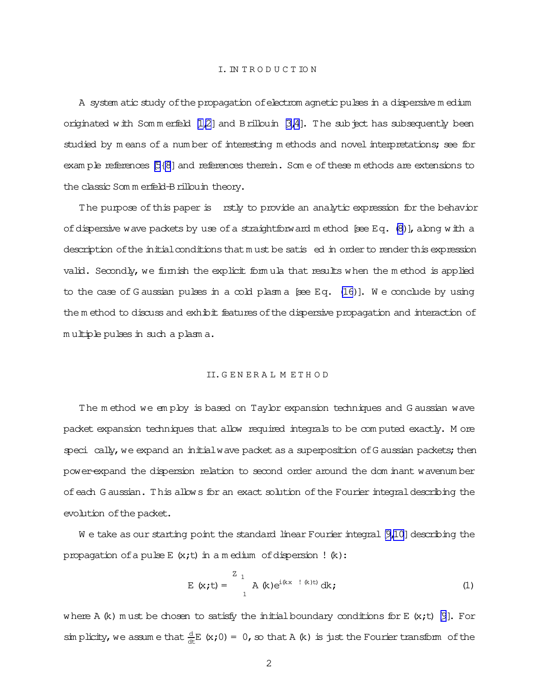<span id="page-1-0"></span>A system atic study ofthe propagation ofelectrom agnetic pulsesin a dispersive m edium originated with Sommerfield  $[1,2]$  and Brillouin  $[3,4]$ . The subject has subsequently been studied by m eans of a num ber of interesting m ethods and novel interpretations; see for exam ple references  $[5{8}]$  and references therein. Som e of these m ethods are extensions to the classic Som m erfeld-Brillouin theory.

The purpose of this paper is rstly to provide an analytic expression for the behavior of dispersive wave packets by use of a straightforward m ethod [see Eq.  $(8)$ ], along with a description of the initial conditions that m ust be satis ed in order to render this expression valid. Secondly, we furnish the explicit formula that results when the method is applied to the case of G aussian pulses in a cold plasm a  $[sce Eq. (16)]$  $[sce Eq. (16)]$  $[sce Eq. (16)]$ . We conclude by using the m ethod to discuss and exhibit features of the dispersive propagation and interaction of m ultiple pulses in such a plasm a.

#### II.G E N E R A L M E T H O D

The m ethod we em ploy is based on Taylor expansion techniques and G aussian wave packet expansion techniques that allow required integrals to be com puted exactly. M ore speci cally, we expand an initial wave packet as a superposition of G aussian packets; then power-expand the dispersion relation to second order around the dom inant wavenum ber ofeach G aussian. This allows for an exact solution ofthe Fourier integraldescribing the evolution of the packet.

W e take as our starting point the standard linear Fourier integral [\[9,10\]](#page-11-0) describing the propagation of a pulse E  $(x; t)$  in a m edium of dispersion !  $(k)$ :

$$
E (x,t) = \int_{1}^{Z} A (k)e^{i(kx - 1 (k)t)} dk;
$$
 (1)

where A  $(k)$  m ust be chosen to satisfy the initial boundary conditions for E  $(k; t)$  [\[9\]](#page-11-0). For sim plicity, we assume that  $\frac{d}{dt}E(x;0)=0$ , so that A (k) is just the Fourier transform of the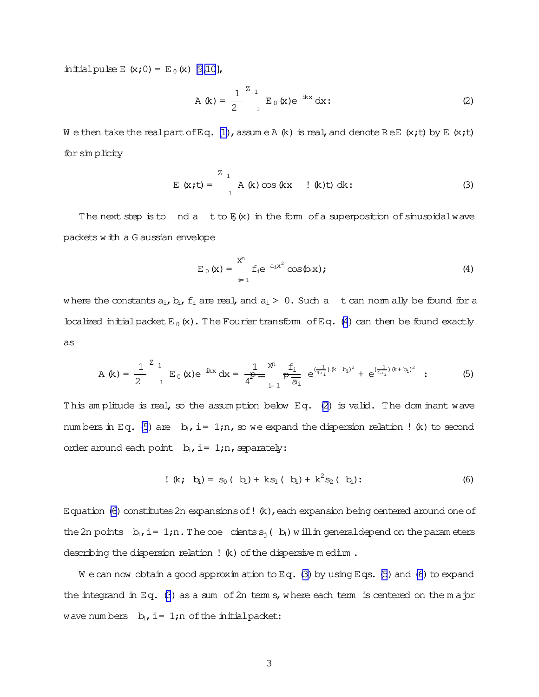<span id="page-2-0"></span>initial pulse E  $(x;0) = E_0(x)[9,10]$  $(x;0) = E_0(x)[9,10]$ ,

$$
A (k) = \frac{1}{2} \int_{1}^{Z} E_0 (x) e^{-ikx} dx:
$$
 (2)

W e then take the realpart of Eq. [\(1\)](#page-1-0), assume A (k) is real, and denote ReE (x;t) by E (x;t) forsim plicity

$$
E (x,t) = \int_{1}^{Z} A (k) \cos(kx + (k)t) dk;
$$
 (3)

The next step is to nd a t to  $E(x)$  in the form of a superposition of sinusoidalwave packets with a G aussian envelope

$$
E_0(x) = \sum_{i=1}^{X^n} f_i e^{-a_i x^2} \cos(\phi_i x); \qquad (4)
$$

where the constants  $a_i, b_i, f_i$  are real, and  $a_i > 0$ . Such a t can norm ally be found for a localized initial packet  $E_0(x)$ . The Fourier transform of Eq. (4) can then be found exactly as

$$
A (k) = \frac{1}{2} \int_{1}^{Z} E_0 (x) e^{-ikx} dx = \frac{1}{4} \int_{i=1}^{X^n} \frac{f_i}{\theta_i} e^{(\frac{1}{4a_i})(k - b_i)^2} + e^{(\frac{1}{4a_i})(k + b_i)^2} \quad (5)
$$

This am plitude is real, so the assum ption below Eq. (2) is valid. The dom inant wave num bers in Eq. (5) are  $b_i$ , i= 1;n, so we expand the dispersion relation ! (k) to second order around each point  $b_i$ , i= 1;n, separately:

$$
! (k; bi) = s0 (bi) + ks1 (bi) + k2s2 (bi) : \t(6)
$$

Equation (6) constitutes 2n expansions of !  $(k)$ , each expansion being centered around one of the 2n points  $b_i$ , i= 1;n. The  $\infty$  cients  $s_i$  (  $b_i$ ) will in generaldepend on the param eters describing the dispersion relation !  $(k)$  of the dispersive m edium.

W e can now obtain a good approxim ation to Eq. (3) by using Eqs. (5) and (6) to expand the integrand in Eq.  $(3)$  as a sum of 2n term s, where each term is centered on the m a jor wave num bers  $b_i$ , i= 1;n of the initial packet: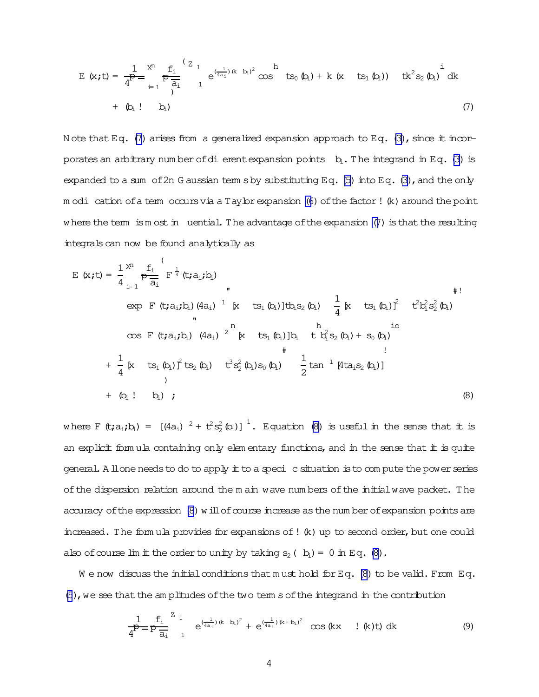<span id="page-3-0"></span>
$$
E(x;t) = \frac{1}{4^{p}} \sum_{i=1}^{x^{n}} \frac{f_{i}}{a_{i}} \int_{1}^{(Z_{1}} e^{(\frac{1}{4a_{i}})(k-b_{i})^{2}} \cos^{h} ts_{0} (b_{i}) + k (x ts_{1} (b_{i})) t k^{2} s_{2} (b_{i}) dk
$$
  
+ (b<sub>i</sub> ! b<sub>i</sub>) (7)

Note that Eq. (7) arises from a generalized expansion approach to Eq. (3), since it incorporates an arbitrary number of dierent expansion points  $b_i$ . The integrand in Eq. (3) is expanded to a sum of 2n G aussian term s by substituting Eq.  $(5)$  into Eq.  $(3)$ , and the only m odi cation of a tem occurs via a Taylor expansion (6) of the factor! (k) around the point where the term is most in uential. The advantage of the expansion  $(7)$  is that the resulting integrals can now be found analytically as

$$
E (x,t) = \frac{1}{4} \sum_{i=1}^{N} \frac{f_i}{a_i} (t; a_i; b_i)
$$
  
\n
$$
exp F (t; a_i; b_i) (4a_i)^{-1} [x + ts_1 (b_i)]tb_i s_2 (b_i) - \frac{1}{4} [x + ts_1 (b_i)]^2 + t^2b_1^2 s_2^2 (b_i)
$$
  
\n
$$
cos F (t; a_i; b_i) (4a_i)^{-2} [x + ts_1 (b_i)]b_i + t^2 s_2 (b_i) + s_0 (b_i)
$$
  
\n
$$
+ \frac{1}{4} [x + ts_1 (b_i)]^2 (ts_2 (b_i) + t^3 s_2^2 (b_i) s_0 (b_i) - \frac{1}{2} tan^{-1} [4ta_i s_2 (b_i)]
$$
  
\n
$$
+ (b_i ! b_i) ;
$$
  
\n(8)

where F  $(t; a_i; b_i) = [(4a_i)^2 + t^2s_2^2(b_i)]^1$ . Equation (8) is useful in the sense that it is an explicit formula containing only elementary functions, and in the sense that it is quite general. A llone needs to do to apply it to a speci c situation is to compute the power series of the dispersion relation around the m ain wave numbers of the initial wave packet. The accuracy of the expression (8) will of course increase as the number of expansion points are increased. The formula provides for expansions of ! (k) up to second order, but one could also of course  $\lim$  if the order to unity by taking  $s_2$  ( $b_i$ ) = 0 in Eq. (8).

We now discuss the initial conditions that must hold for Eq.  $(8)$  to be valid. From Eq. (5), we see that the amplitudes of the two term s of the integrand in the contribution

$$
\frac{1}{4^{p}} = p \frac{f_{i}}{a_{i}} \left[ e^{(\frac{1}{4a_{i}})(k - b_{i})^{2}} + e^{(\frac{1}{4a_{i}})(k + b_{i})^{2}} \right] \cos(kx + k)t) dk
$$
 (9)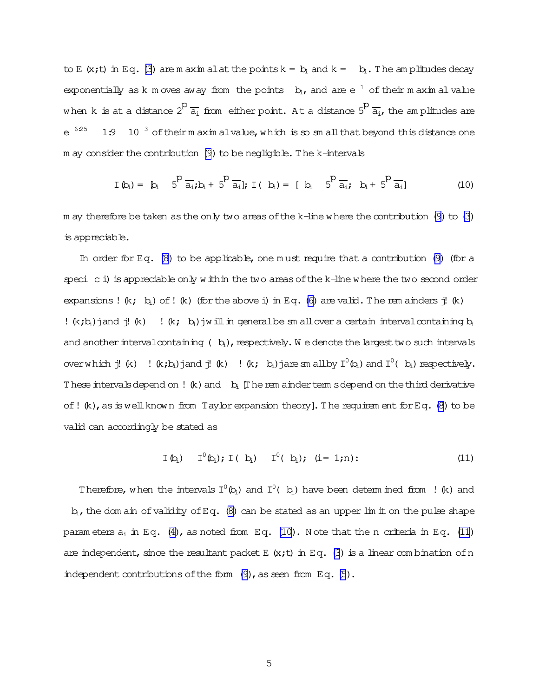<span id="page-4-0"></span>to E (x;t) in Eq. [\(3](#page-2-0)) are m axim alat the points  $k = b_i$  and  $k = b_i$ . The am plitudes decay exponentially as k m oves away from the points  $b_i$ , and are  $e^{-1}$  of their m axim alvalue when k is at a distance  $2^D\frac{1}{a_1}$  from either point. At a distance  $5^D\frac{1}{a_1}$ , the am plitudes are  $e^{6.25}$ 1:9 10  $3$  of their m axim alvalue, which is so sm all that beyond this distance one  $m$  ay consider the contribution [\(9](#page-3-0)) to be negligible. The k-intervals

$$
I(b_i) = [b_i \quad 5^{\circ} \overline{a_i}; b_i + 5^{\circ} \overline{a_i}]; I(b_i) = [b_i \quad 5^{\circ} \overline{a_i}; b_i + 5^{\circ} \overline{a_i}]
$$
 (10)

m ay therefore be taken as the only two areas of the k-line where the contribution  $(9)$  to  $(3)$ is appreciable.

In order for Eq.  $(8)$  to be applicable, one m ust require that a contribution  $(9)$  (for a speci c i) is appreciable only within the two areas of the k-line where the two second order expansions!  $(k; b_i)$  of!  $(k)$  (for the above i) in Eq. [\(6\)](#page-2-0) are valid. The rem ainders  $\ddot{j}$ !  $(k)$ !  $(k; b_i)$  jand j!  $(k)$  !  $(k; b_i)$  jwill in general be sm all over a certain interval containing  $b_i$ and another interval containing ( $b_i$ ), respectively. W e denote the largest two such intervals overwhich j! (k)  $!$  (k;b<sub>i</sub>)jand j! (k)  $!$  (k; b<sub>i</sub>)jare sm allby  $I^0$ (b<sub>i</sub>) and  $I^0$ (b<sub>i</sub>) respectively. These intervalsdepend on ! (k) and  $b_i$  [The rem ainder term sdepend on the third derivative of! $(k)$ , as is well known from Taylor expansion theory]. The requirem ent for Eq. [\(8\)](#page-3-0) to be valid can accordingly be stated as

$$
\mathbf{I}(\mathbf{b}_i) \quad \mathbf{I}^0(\mathbf{b}_i); \mathbf{I}(\mathbf{b}_i) \quad \mathbf{I}^0(\mathbf{b}_i); \quad (i = 1; n): \tag{11}
$$

Therefore, when the intervals  $I^0(\mathfrak{b}_i)$  and  $I^0(\mathfrak{b}_i)$  have been determ ined from ! (k) and  $b_i$ , the dom ain of validity of Eq. [\(8\)](#page-3-0) can be stated as an upper lim it on the pulse shape param eters  $a_i$  in Eq. [\(4\)](#page-2-0), as noted from Eq. (10). Note that the n criteria in Eq. (11) are independent, since the resultant packet E  $(x;t)$  in Eq. [\(3](#page-2-0)) is a linear combination of n independent contributions of the form  $(9)$ , as seen from Eq.  $(5)$ .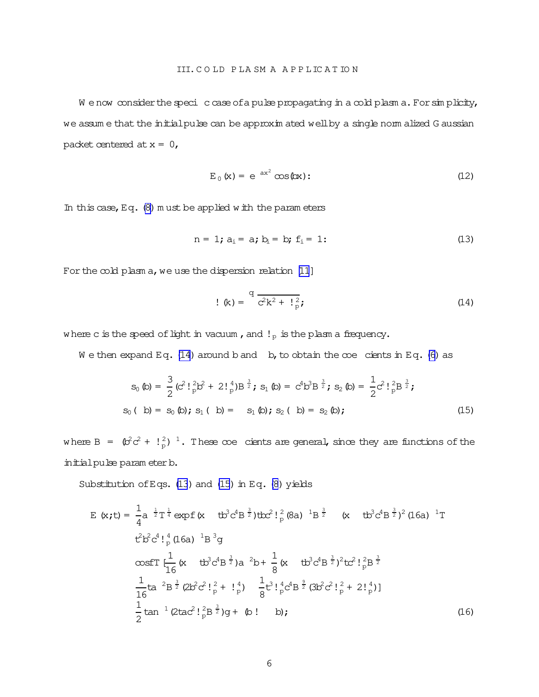<span id="page-5-0"></span>We now consider the speci c case of a pulse propagating in a cold plasm a. For simplicity, we assume that the initial pulse can be approximated well by a single normalized G aussian packet centered at  $x = 0$ ,

$$
E_0(x) = e^{-ax^2} \cos(ax); \qquad (12)
$$

In this case, Eq.  $(8)$  must be applied with the parameters

$$
n = 1; a_i = a; b_i = b; f_i = 1;
$$
 (13)

For the cold plasm a, we use the dispersion relation [11]

$$
! \, (\mathbf{k}) = \frac{q}{c^2 k^2 + 1\frac{2}{p}}; \tag{14}
$$

where c is the speed of light in vacuum, and  $!_p$  is the plasm a frequency.

We then expand Eq. (14) around b and b, to obtain the  $\infty$ e cients in Eq. (6) as

$$
s_0 (b) = \frac{3}{2} (c^2! \frac{1}{p} b^2 + 2! \frac{4}{p} b^{\frac{3}{2}}; s_1 (b) = c^4 b^3 B^{\frac{3}{2}}; s_2 (b) = \frac{1}{2} c^2! \frac{1}{p} B^{\frac{3}{2}};
$$
  
\n
$$
s_0 (b) = s_0 (b); s_1 (b) = s_1 (b); s_2 (b) = s_2 (b);
$$
  
\n(15)

where B =  $(\beta^2 c^2 + \binom{2}{p}^{-1})$ . These coe cients are general, since they are functions of the initial pulse parameter b.

Substitution of Eqs. (13) and (15) in Eq. (8) yields

$$
E(x,t) = \frac{1}{4}a^{-\frac{1}{2}}T^{\frac{1}{4}} \exp f (x - tb^{3}c^{4}B^{\frac{3}{2}})tbc^{2}!_{p}^{2}(8a)^{-1}B^{\frac{3}{2}} (x - tb^{3}c^{4}B^{\frac{3}{2}})^{2}(16a)^{-1}T
$$
  
\n
$$
t^{2}b^{2}c^{4}!_{p}^{4}(16a)^{-1}B^{3}g
$$
  
\n
$$
\cos f T \left[\frac{1}{16}(x - tb^{3}c^{4}B^{\frac{3}{2}})a^{-2}b + \frac{1}{8}(x - tb^{3}c^{4}B^{\frac{3}{2}})^{2}tc^{2}!_{p}^{2}B^{\frac{3}{2}}
$$
  
\n
$$
\frac{1}{16}ta^{-2}B^{\frac{3}{2}}(2b^{2}c^{2}!_{p}^{2} + !_{p}^{4}) - \frac{1}{8}t^{3}!_{p}^{4}c^{4}B^{\frac{3}{2}}(3b^{2}c^{2}!_{p}^{2} + 2!_{p}^{4})]
$$
  
\n
$$
\frac{1}{2} \tan^{-1}(2tac^{2}!_{p}^{2}B^{\frac{3}{2}})g + (b! - b);
$$
  
\n(16)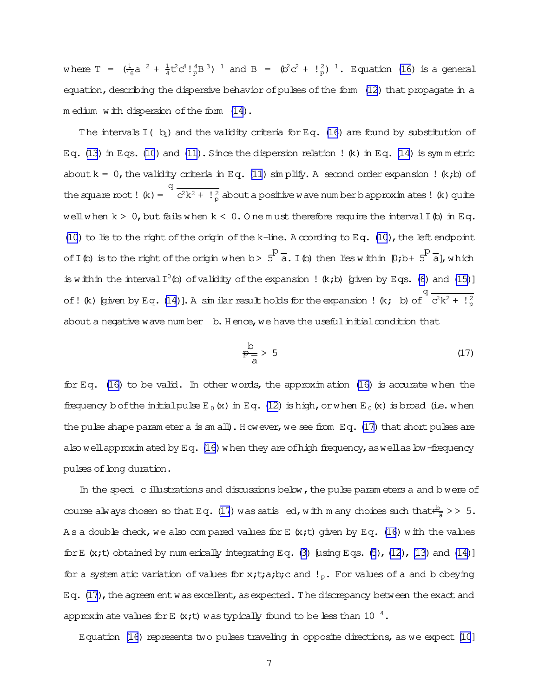<span id="page-6-0"></span>where  $T = (\frac{1}{16}a^2 + \frac{1}{4}t^2c^4!\frac{4}{p}B^3)^{-1}$  and  $B = (\frac{b^2}{c^2} + \frac{1}{p})^{-1}$ . Equation (16) is a general equation, describing the dispersive behavior of pulses of the form (12) that propagate in a medium with dispersion of the form (14).

The intervals  $I(\,b)$  and the validity criteria for Eq. (16) are found by substitution of Eq. (13) in Eqs. (10) and (11). Since the dispersion relation ! (k) in Eq. (14) is symmetric about  $k = 0$ , the validity criteria in Eq. (11) simplify. A second order expansion ! (k;b) of the square root ! (k) =  $\frac{q}{c^2k^2 + \frac{12}{p}}$  about a positive w ave num ber b approximates ! (k) quite well when  $k > 0$ , but fails when  $k < 0$ . One must therefore require the interval I (b) in Eq. (10) to lie to the right of the origin of the k-line. A ccording to Eq. (10), the left endpoint of I (b) is to the right of the origin when  $b > 5^P \frac{1}{a}$ . I (b) then lies within  $[0,b+5^P \frac{1}{a}]$ , which is within the interval  $I^0$  (b) of validity of the expansion ! (k;b) (given by Eqs. (6) and (15)] of! (k) [given by Eq. (14)]. A similar result holds for the expansion ! (k; b) of  $\frac{q}{c^2k^2 + \frac{12}{p}}$ about a negative wave number b. Hence, we have the useful initial condition that

$$
\frac{b}{p} > 5 \tag{17}
$$

for Eq. (16) to be valid. In other words, the approximation (16) is accurate when the frequency b of the initial pulse  $E_0(x)$  in Eq. (12) is high, or when  $E_0(x)$  is broad (i.e. when the pulse shape param eter a is sm all). However, we see from Eq. (17) that short pulses are also well approximated by Eq.  $(16)$  when they are of high frequency, as well as bw-frequency pulses of long duration.

In the speci c illustrations and discussions below, the pulse parameters a and b were of course always chosen so that Eq. (17) was satis ed, with m any choices such that  $\frac{b}{a}$  > > 5. As a double check, we also compared values for E  $(x,t)$  given by Eq. (16) with the values for E  $(x,t)$  obtained by num erically integrating Eq. (3) [using Eqs. (5), (12), (13) and (14)] for a system atic variation of values for x;t;a;b;c and !<sub>p</sub>. For values of a and b obeying Eq. (17), the agreem ent was excellent, as expected. The discrepancy between the exact and approximate values for E  $(x,t)$  was typically found to be less than 10<sup>4</sup>.

Equation (16) represents two pulses traveling in opposite directions, as we expect [10]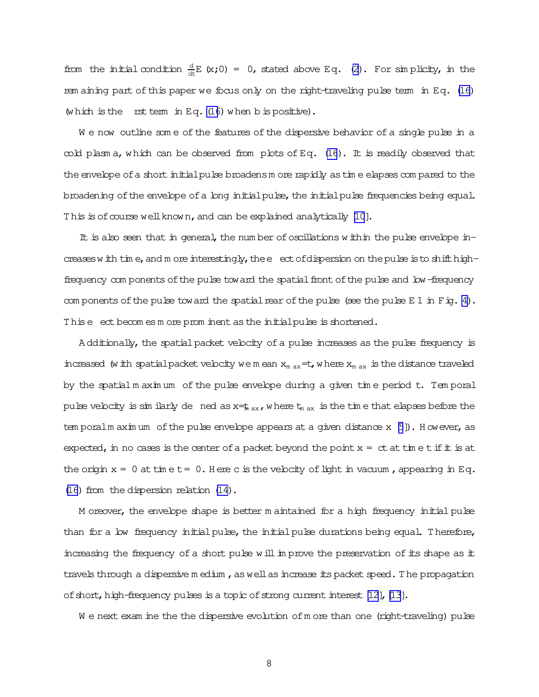from the initial condition  $\frac{d}{dt}E(x;0) = 0$ , stated above Eq. [\(2\)](#page-2-0). For simplicity, in the rem aining part of this paper we focus only on the right-traveling pulse term in Eq. [\(16\)](#page-5-0) (which is the rst term in Eq.  $(16)$  $(16)$  when b is positive).

We now outline some of the features of the dispersive behavior of a single pulse in a  $\infty$ ld plasm a, which can be observed from plots of Eq. [\(16](#page-5-0)). It is readily observed that the envelope of a short initial pulse broadensm ore rapidly as time elapses com pared to the broadening of the envelope of a long initial pulse, the initial pulse frequencies being equal. This is of course well known, and can be explained analytically [\[10](#page-11-0)].

It is also seen that in general, the num ber of oscillations within the pulse envelope increases with tim e, and m ore interestingly, the e ect of dispersion on the pulse is to shift highfrequency com ponents of the pulse toward the spatial front of the pulse and low-frequency com ponents of the pulse toward the spatial rear of the pulse (see the pulse  $E 1$  in Fig. [4\)](#page-12-0). This e ect becomes m ore prominent as the initialpulse is shortened.

A dditionally, the spatial packet velocity of a pulse increases as the pulse frequency is increased (with spatial packet velocity we m ean  $x_{max} = t$ , where  $x_{max}$  is the distance traveled by the spatial m axim um of the pulse envelope during a given tim e period t. Tem poral pulse velocity is simularly dened as  $x=t_{max}$ , where  $t_{max}$  is the time that elapses before the tem poralm aximum of the pulse envelope appears at a given distance  $x \in [5]$  $x \in [5]$  $x \in [5]$ ). However, as expected, in no cases is the center of a packet beyond the point  $x = ct$  at time tifit is at the origin  $x = 0$  at time  $t = 0$ . Here c is the velocity of light in vacuum, appearing in Eq. [\(16](#page-5-0)) from the dispersion relation  $(14)$ .

M oreover, the envelope shape is better m aintained for a high frequency initial pulse than for a low frequency initial pulse, the initial pulse durations being equal. Therefore, increasing the frequency of a short pulse willim prove the preservation of its shape as it travels through a dispersive m edium, as well as increase its packet speed. The propagation of short, high-frequency pulses is a topic of strong current interest [\[12\]](#page-11-0), [\[13](#page-11-0)].

W e next exam ine the the dispersive evolution of m ore than one (right-traveling) pulse

8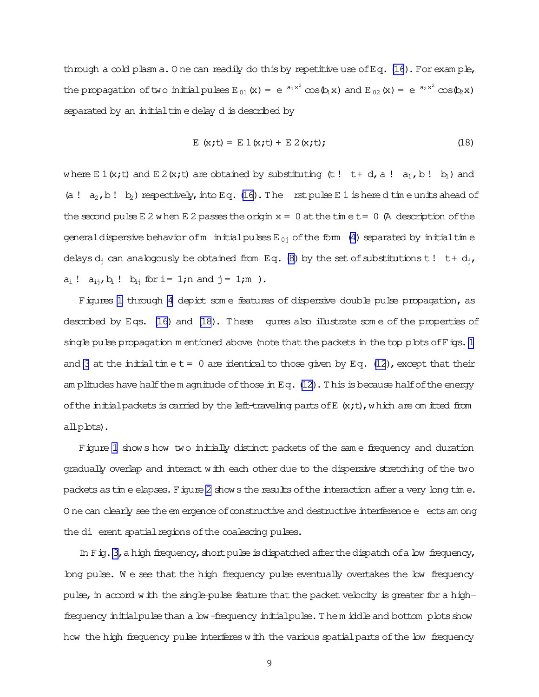<span id="page-8-0"></span>through a cold plasm a. One can readily do this by repetitive use of Eq.  $(16)$ . For example, the propagation of two initial pulses  $E_{01}(x) = e^{-a_1x^2} \cos{\phi_1 x}$  and  $E_{02}(x) = e^{-a_2x^2} \cos{\phi_2 x}$ separated by an initial time delay d is described by

$$
E(x,t) = E 1(x,t) + E 2(x,t); \qquad (18)
$$

where E 1(x;t) and E 2(x;t) are obtained by substituting (t! t+d, a!  $a_1$ , b!b<sub>1</sub>) and (a!  $a_2$ , b! b) respectively, into Eq. (16). The rst pulse E 1 is here d time units ahead of the second pulse E 2 when E 2 passes the origin  $x = 0$  at the time  $t = 0$  (A description of the general dispersive behavior of m initial pulses  $E_{0j}$  of the form (4) separated by initial time delays  $d_i$  can analogously be obtained from Eq. (8) by the set of substitutions t! t+  $d_i$ ,  $a_i$  !  $a_{i,j}$ ,  $b_i$  !  $b_{i,j}$  for i= 1; n and j = 1; m ).

Figures 1 through 4 depict some features of dispersive double pulse propagation, as described by Eqs. (16) and (18). These qures also illustrate some of the properties of single pulse propagation m entioned above (note that the packets in the top plots of Figs. 1 and 3 at the initial time  $t = 0$  are identical to those given by Eq. (12), except that their am plitudes have half the m agnitude of those in Eq.  $(12)$ . This is because half of the energy of the initial packets is carried by the left-traveling parts of E  $(x,t)$ , which are om itted from  $all$ p $b$ ts $).$ 

Figure 1 shows how two initially distinct packets of the same frequency and duration gradually overlap and interact with each other due to the dispersive stretching of the two packets as time elapses. Figure 2 shows the results of the interaction after a very long time. O ne can clearly see the em ergence of constructive and destructive interference e ects am ong the di erent spatial regions of the coalescing pulses.

In Fig. 3, a high frequency, short pulse is dispatched after the dispatch of a low frequency, long pulse. We see that the high frequency pulse eventually overtakes the low frequency pulse, in accord with the single-pulse feature that the packet velocity is greater for a highfrequency initial pulse than a low-frequency initial pulse. Them iddle and bottom plots show how the high frequency pulse interferes with the various spatial parts of the low frequency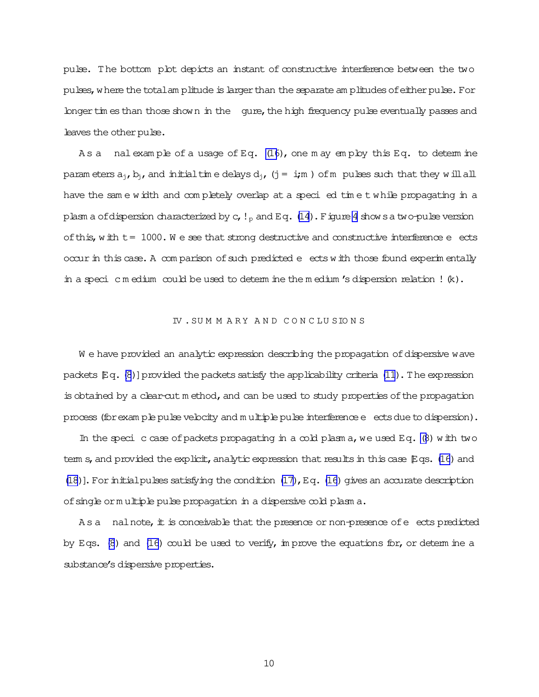pulse. The bottom plot depicts an instant of constructive interference between the two pulses, where the totalam plitude is larger than the separate am plitudes of either pulse. For longer tim es than those shown in the gure, the high frequency pulse eventually passes and leaves the other pulse.

As a nalexample of a usage of Eq. [\(16](#page-5-0)), one may employ this Eq. to determine param eters  $a_{i}$ ,  $b_{i}$ , and initialtim e delays  $d_{i}$ , (j = i;m) of m pulses such that they will all have the sam e width and com pletely overlap at a speci ed tim e t while propagating in a plasm a ofdispersion characterized by c,  $!_p$  and Eq. [\(14](#page-5-0)). Figure [4](#page-12-0) shows a two-pulse version of this, with  $t = 1000$ . We see that strong destructive and constructive interference e ects occur in this case. A com parison of such predicted e ects with those found experim entally in a speci c m edium could be used to determine the m edium 's dispersion relation !  $(k)$ .

#### IV . SUMMARY AND CONCLUSIONS

W e have provided an analytic expression describing the propagation of dispersive wave packets  $Eq. (8)$  $Eq. (8)$  $Eq. (8)$ ] provided the packets satisfy the applicability criteria [\(11](#page-4-0)). The expression is obtained by a clear-cut m ethod, and can be used to study properties of the propagation process (for exam ple pulse velocity and m ultiple pulse interference e ects due to dispersion).

In the speci c case of packets propagating in a cold plasm a, we used Eq.  $(8)$  with two term s, and provided the explicit, analytic expression that results in this case  $E$ qs. [\(16](#page-5-0)) and [\(18](#page-8-0))]. For initial pulses satisfying the condition  $(17)$ , Eq. [\(16\)](#page-5-0) gives an accurate description ofsingle orm ultiple pulse propagation in a dispersive cold plasm a.

 $A s a$  nalnote, it is conceivable that the presence or non-presence of  $e$  ects predicted by Eqs.  $(8)$  and  $(16)$  could be used to verify, in prove the equations for, or determ ine a substance's dispersive properties.

10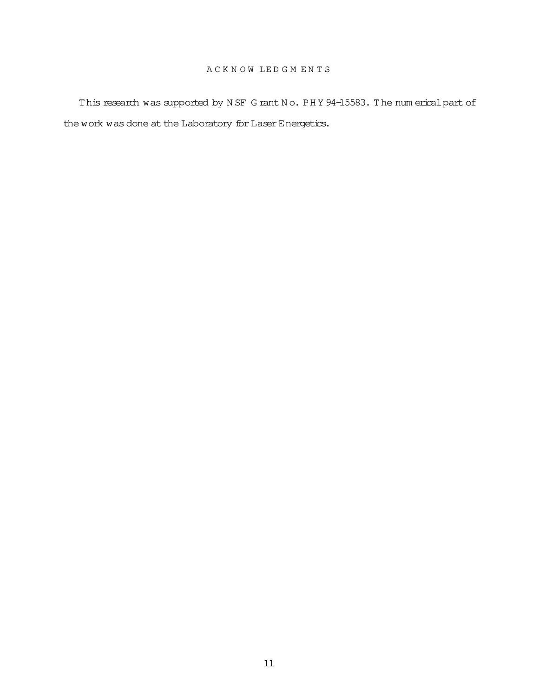# A C K N O W LE D G M E N T S

This research was supported by N SF G rant No. PH Y 94-15583. The num erical part of the work was done at the Laboratory for Laser Energetics.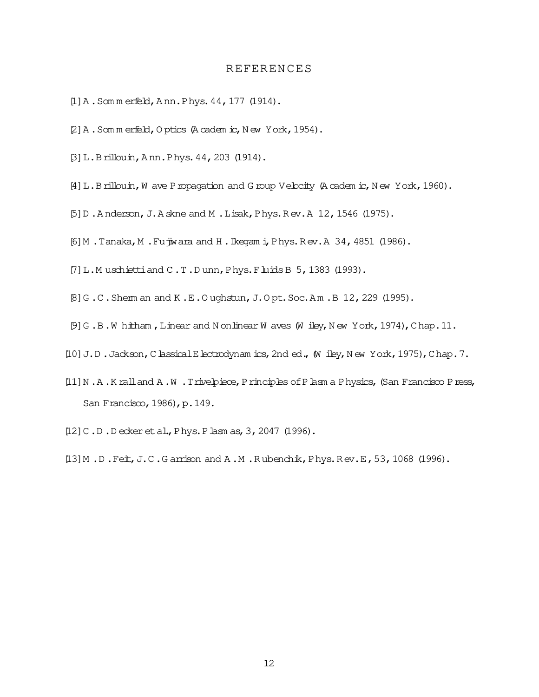## **REFERENCES**

- <span id="page-11-0"></span>[1] A. Som m erfeld, Ann. Phys. 44, 177 (1914).
- [2] A. Som m erfeld, O ptics (A cadem ic, N ew York, 1954).
- [3]L.Brillouin,A nn.Phys.44,203 (1914).
- [4] L.Brillouin, W ave Propagation and G roup Velocity (A cadem ic, New York, 1960).
- [5]D .A nderson,J.A skne and M .Lisak,Phys.R ev.A 12,1546 (1975).
- [6]M .Tanaka,M .Fujiwara and H .Ikegam i,Phys.R ev.A 34,4851 (1986).
- [7] L.M uschiettiand C.T.D unn, Phys. Fluids B 5, 1383 (1993).
- $[8]G.C.$  Shem an and K.E.O ughstun, J.O pt. Soc.Am. B 12, 229 (1995).
- $[9]G$ .B.W hitham, Linear and N onlinear W aves (W iley, N ew York, 1974), Chap.11.
- [10] J.D.Jackson, ClassicalElectrodynam ics, 2nd ed., (W iley, N ew York, 1975), Chap.7.
- [11] N.A.K ralland A.W.Trivelpiece, Principles of Plasm a Physics, (San Francisco Press, San Francisco, 1986), p. 149.
- [12] C.D.D ecker et al., Phys. Plasm as, 3, 2047 (1996).
- [13] M.D.Feit, J.C.G arrison and A.M.Rubenchik, Phys.Rev.E, 53, 1068 (1996).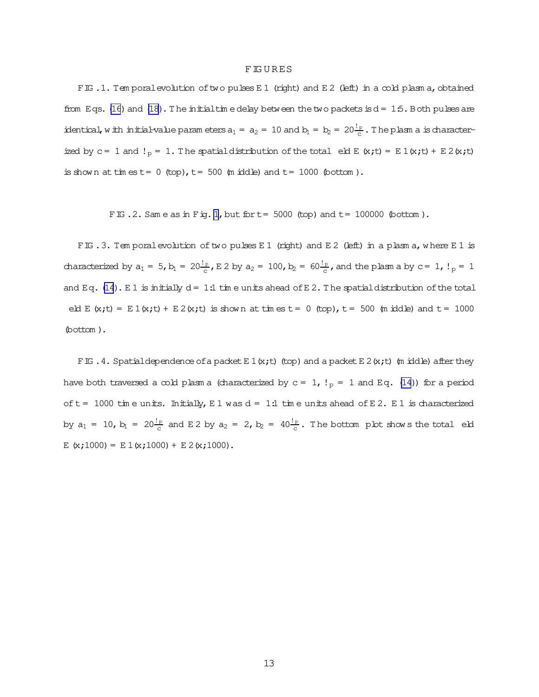#### **FIGURES**

<span id="page-12-0"></span>FIG .1. Tem poralevolution of two pulses E1 (right) and E2 (left) in a cold plasm a, obtained from Eqs. [\(16](#page-5-0)) and [\(18](#page-8-0)). The initial time delay between the two packets is  $d = 1.5$ . Both pulses are identical, w ith initial-value param eters  $a_1 = a_2 = 10$  and  $b_1 = b_2 = 20 \frac{1}{c}$ . The plasm a is characterized by c = 1 and !<sub>p</sub> = 1. The spatial distribution of the total eld E  $(x,t) = E 1(x,t) + E 2(x,t)$ is shown at times  $t= 0$  (top),  $t= 500$  (m iddle) and  $t= 1000$  (bottom).

FIG. 2. Same as in Fig. 1, but for  $t=$  5000 (top) and  $t=$  100000 (bottom).

FIG .3. Tem poral evolution of two pulses E 1 (right) and E 2 (left) in a plasm a, where E 1 is characterized by  $a_1 = 5$ ,  $b_1 = 20 \frac{1}{c}$ , E 2 by  $a_2 = 100$ ,  $b_2 = 60 \frac{1}{c}$ , and the plasm a by  $c = 1$ ,  $l_p = 1$ and Eq.  $(14)$ . E 1 is initially  $d = 1:1$  time units ahead of E 2. The spatial distribution of the total eld E  $(x;t) = E 1(x;t) + E 2(x;t)$  is shown at times  $t = 0$  (top),  $t = 500$  (m iddle) and  $t = 1000$ (bottom ).

FIG . 4. Spatial dependence of a packet E 1  $(x;t)$  (top) and a packet E 2  $(x;t)$  (m iddle) after they have both traversed a cold plasm a (characterized by  $c = 1$ ,  $!_p = 1$  and Eq. [\(14](#page-5-0))) for a period of  $t = 1000$  time units. Initially, E 1 was  $d = 1.1$  time units ahead of E 2. E 1 is characterized by  $a_1 = 10$ ,  $b_1 = 20 \frac{!}{c}$  and E2 by  $a_2 = 2$ ,  $b_2 = 40 \frac{!}{c}$ . The bottom pbt shows the total eld E (x;1000) =  $E 1(x;1000) + E 2(x;1000)$ .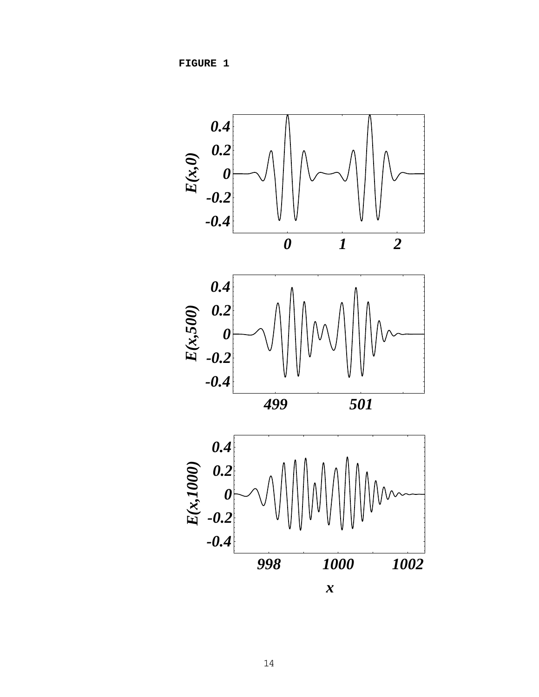**FIGURE 1** 

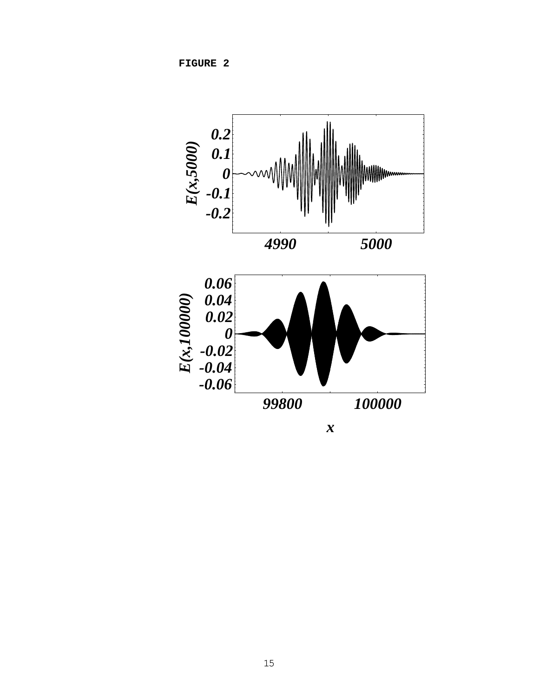**FIGURE 2** 

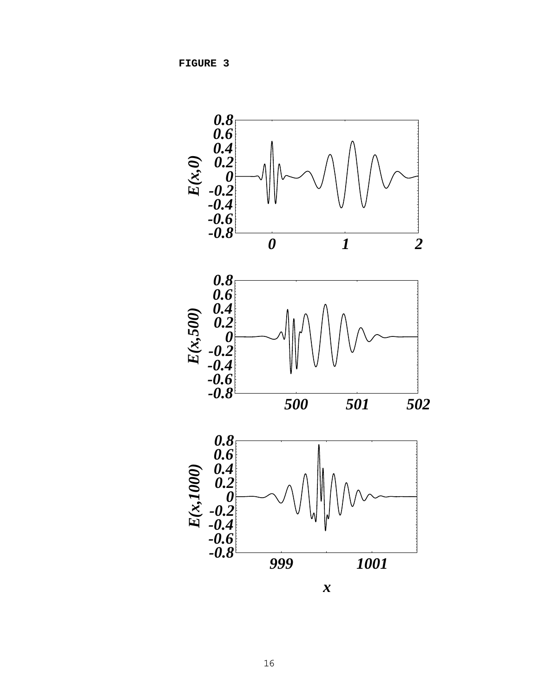**FIGURE 3**